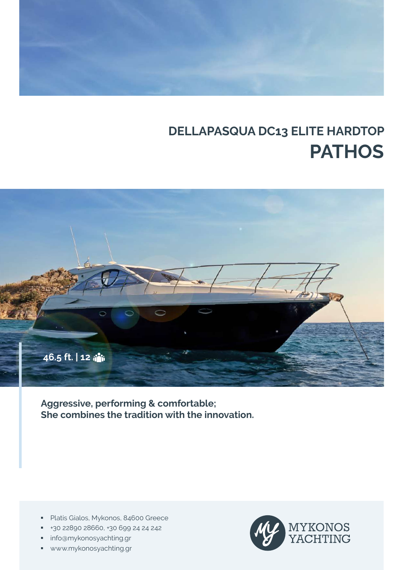# **DELLAPASQUA DC13 ELITE HARDTOP PATHOS**



**Aggressive, performing & comfortable; She combines the tradition with the innovation.**

- **Platis Gialos, Mykonos, 84600 Greece**
- +30 22890 28660, +30 699 24 24 242
- **info@mykonosyachting.gr**
- www.mykonosyachting.gr

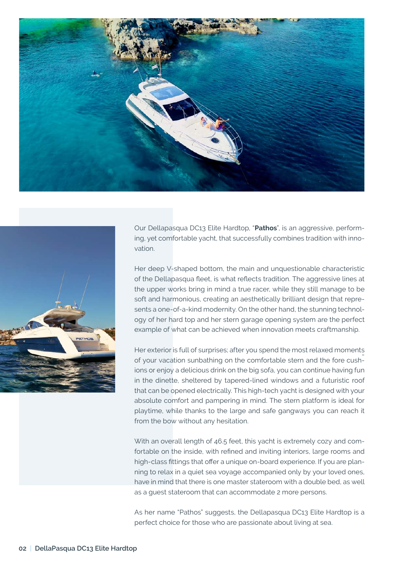



Our Dellapasqua DC13 Elite Hardtop, "**Pathos**", is an aggressive, performing, yet comfortable yacht, that successfully combines tradition with innovation.

Her deep V-shaped bottom, the main and unquestionable characteristic of the Dellapasqua fleet, is what reflects tradition. The aggressive lines at the upper works bring in mind a true racer, while they still manage to be soft and harmonious, creating an aesthetically brilliant design that represents a one-of-a-kind modernity. On the other hand, the stunning technology of her hard top and her stern garage opening system are the perfect example of what can be achieved when innovation meets craftmanship.

- of your vacation sunbathing on the comfortable stern and the fore cush-Her exterior is full of surprises; after you spend the most relaxed moments ions or enjoy a delicious drink on the big sofa, you can continue having fun in the dinette, sheltered by tapered-lined windows and a futuristic roof that can be opened electrically. This high-tech yacht is designed with your absolute comfort and pampering in mind. The stern platform is ideal for playtime, while thanks to the large and safe gangways you can reach it from the bow without any hesitation.

With an overall length of 46.5 feet, this yacht is extremely cozy and comfortable on the inside, with refined and inviting interiors, large rooms and high-class fittings that offer a unique on-board experience. If you are planning to relax in a quiet sea voyage accompanied only by your loved ones, have in mind that there is one master stateroom with a double bed, as well as a guest stateroom that can accommodate 2 more persons.

As her name "Pathos" suggests, the Dellapasqua DC13 Elite Hardtop is a perfect choice for those who are passionate about living at sea.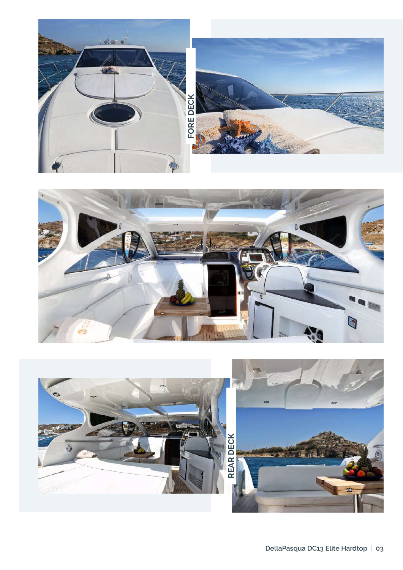



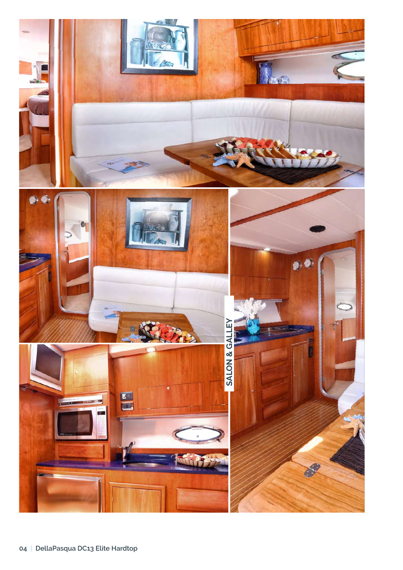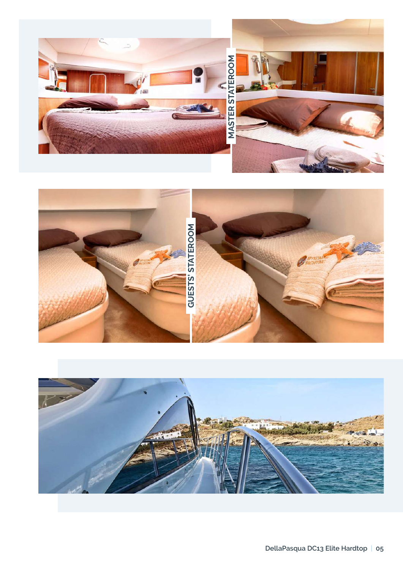